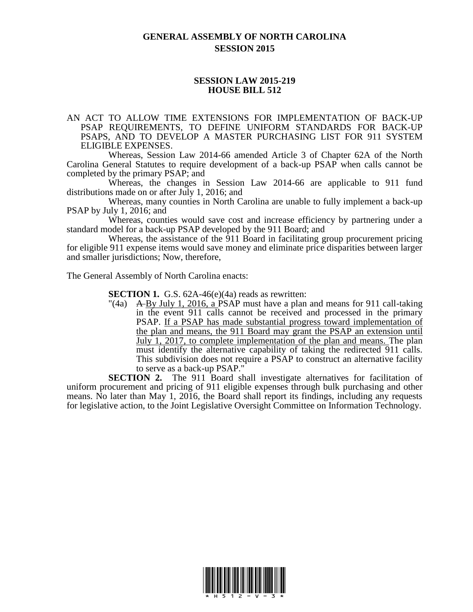## **GENERAL ASSEMBLY OF NORTH CAROLINA SESSION 2015**

## **SESSION LAW 2015-219 HOUSE BILL 512**

## AN ACT TO ALLOW TIME EXTENSIONS FOR IMPLEMENTATION OF BACK-UP PSAP REQUIREMENTS, TO DEFINE UNIFORM STANDARDS FOR BACK-UP PSAPS, AND TO DEVELOP A MASTER PURCHASING LIST FOR 911 SYSTEM ELIGIBLE EXPENSES.

Whereas, Session Law 2014-66 amended Article 3 of Chapter 62A of the North Carolina General Statutes to require development of a back-up PSAP when calls cannot be completed by the primary PSAP; and

Whereas, the changes in Session Law 2014-66 are applicable to 911 fund distributions made on or after July 1, 2016; and

Whereas, many counties in North Carolina are unable to fully implement a back-up PSAP by July 1, 2016; and

Whereas, counties would save cost and increase efficiency by partnering under a standard model for a back-up PSAP developed by the 911 Board; and

Whereas, the assistance of the 911 Board in facilitating group procurement pricing for eligible 911 expense items would save money and eliminate price disparities between larger and smaller jurisdictions; Now, therefore,

The General Assembly of North Carolina enacts:

**SECTION 1.** G.S. 62A-46(e)(4a) reads as rewritten:

"(4a)  $A$ -By July 1, 2016, a PSAP must have a plan and means for 911 call-taking in the event 911 calls cannot be received and processed in the primary PSAP. If a PSAP has made substantial progress toward implementation of the plan and means, the 911 Board may grant the PSAP an extension until July 1, 2017, to complete implementation of the plan and means. The plan must identify the alternative capability of taking the redirected 911 calls. This subdivision does not require a PSAP to construct an alternative facility

to serve as a back-up PSAP."<br>**SECTION 2.** The 911 Board sh The 911 Board shall investigate alternatives for facilitation of uniform procurement and pricing of 911 eligible expenses through bulk purchasing and other means. No later than May 1, 2016, the Board shall report its findings, including any requests for legislative action, to the Joint Legislative Oversight Committee on Information Technology.